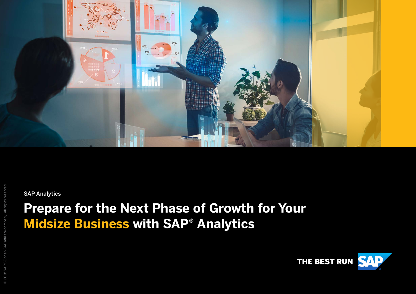

#### SAP Analytics

# **Prepare for the Next Phase of Growth for Your Midsize Business with SAP® Analytics**

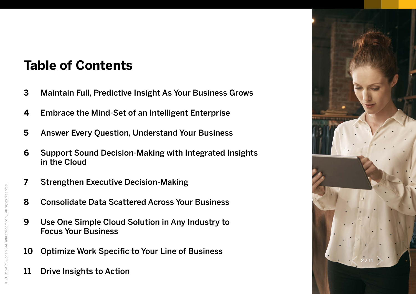# **Table of Contents**

- **[3](#page-2-0)** [Maintain Full, Predictive Insight As Your Business Grows](#page-2-0)
- **[4](#page-3-0)** [Embrace the Mind-Set of an Intelligent Enterprise](#page-3-0)
- **[5](#page-4-0)** [Answer Every Question, Understand Your Business](#page-4-0)
- **[6](#page-5-0)** [Support Sound Decision-Making with Integrated Insights](#page-5-0)  [in the Cloud](#page-5-0)
- **[7](#page-6-0)** [Strengthen Executive Decision-Making](#page-6-0)
- **[8](#page-7-0)** [Consolidate Data Scattered Across Your Business](#page-7-0)
- **9** [Use One Simple Cloud Solution in Any Industry to](#page-8-0)  [Focus Your Business](#page-8-0)
- **10** [Optimize Work Specific to Your Line of Business](#page-9-0)
- **11** [Drive Insights to Action](#page-10-0)

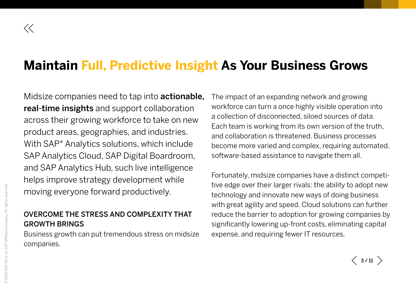# <span id="page-2-0"></span>**Maintain Full, Predictive Insight As Your Business Grows**

Midsize companies need to tap into actionable, real-time insights and support collaboration across their growing workforce to take on new product areas, geographies, and industries. With SAP® Analytics solutions, which include SAP Analytics Cloud, SAP Digital Boardroom, and SAP Analytics Hub, such live intelligence helps improve strategy development while moving everyone forward productively.

### OVERCOME THE STRESS AND COMPLEXITY THAT GROWTH BRINGS

Business growth can put tremendous stress on midsize companies.

The impact of an expanding network and growing workforce can turn a once highly visible operation into a collection of disconnected, siloed sources of data. Each team is working from its own version of the truth, and collaboration is threatened. Business processes become more varied and complex, requiring automated, software-based assistance to navigate them all.

Fortunately, midsize companies have a distinct competitive edge over their larger rivals: the ability to adopt new technology and innovate new ways of doing business with great agility and speed. Cloud solutions can further reduce the barrier to adoption for growing companies by significantly lowering up-front costs, eliminating capital expense, and requiring fewer IT resources.

 $\langle 3/11 \rangle$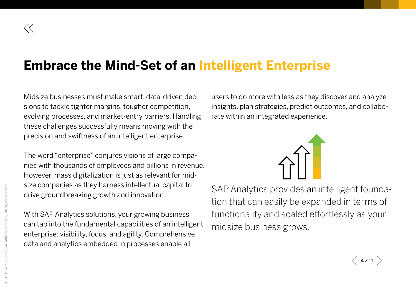## <span id="page-3-0"></span>**Embrace the Mind-Set of an Intelligent Enterprise**

Midsize businesses must make smart, data-driven decisions to tackle tighter margins, tougher competition, evolving processes, and market-entry barriers. Handling these challenges successfully means moving with the precision and swiftness of an intelligent enterprise.

The word "enterprise" conjures visions of large companies with thousands of employees and billions in revenue. However, mass digitalization is just as relevant for midsize companies as they harness intellectual capital to drive groundbreaking growth and innovation.

With SAP Analytics solutions, your growing business can tap into the fundamental capabilities of an intelligent enterprise: visibility, focus, and agility. Comprehensive data and analytics embedded in processes enable all

users to do more with less as they discover and analyze insights, plan strategies, predict outcomes, and collaborate within an integrated experience.



SAP Analytics provides an intelligent foundation that can easily be expanded in terms of functionality and scaled effortlessly as your midsize business grows.

 $\langle 4/11 \rangle$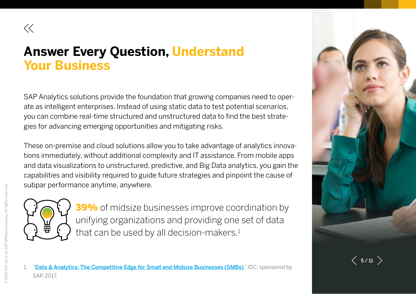<span id="page-4-0"></span>

### **Answer Every Question, Understand Your Business**

SAP Analytics solutions provide the foundation that growing companies need to operate as intelligent enterprises. Instead of using static data to test potential scenarios, you can combine real-time structured and unstructured data to find the best strategies for advancing emerging opportunities and mitigating risks.

These on-premise and cloud solutions allow you to take advantage of analytics innovations immediately, without additional complexity and IT assistance. From mobile apps and data visualizations to unstructured, predictive, and Big Data analytics, you gain the capabilities and visibility required to guide future strategies and pinpoint the cause of subpar performance anytime, anywhere.



39% of midsize businesses improve coordination by unifying organizations and providing one set of data that can be used by all decision-makers.<sup>1</sup>



"[Data & Analytics: The Competitive Edge for Small and Midsize Businesses \(SMBs\)](https://www.slideshare.net/SAPanalytics/data-analytics-the-competitive-edge-for-small-and-midsize-businesses)," IDC, sponsored by SAP 2017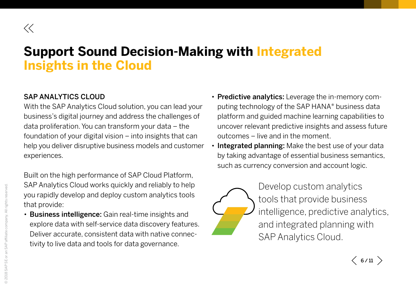### <span id="page-5-0"></span> $<<$

## **Support Sound Decision-Making with Integrated Insights in the Cloud**

#### SAP ANALYTICS CLOUD

With the SAP Analytics Cloud solution, you can lead your business's digital journey and address the challenges of data proliferation. You can transform your data – the foundation of your digital vision – into insights that can help you deliver disruptive business models and customer experiences.

Built on the high performance of SAP Cloud Platform, SAP Analytics Cloud works quickly and reliably to help you rapidly develop and deploy custom analytics tools that provide:

• Business intelligence: Gain real-time insights and explore data with self-service data discovery features. Deliver accurate, consistent data with native connectivity to live data and tools for data governance.

- Predictive analytics: Leverage the in-memory computing technology of the SAP HANA® business data platform and guided machine learning capabilities to uncover relevant predictive insights and assess future outcomes – live and in the moment.
- Integrated planning: Make the best use of your data by taking advantage of essential business semantics, such as currency conversion and account logic.



Develop custom analytics tools that provide business intelligence, predictive analytics, and integrated planning with SAP Analytics Cloud.

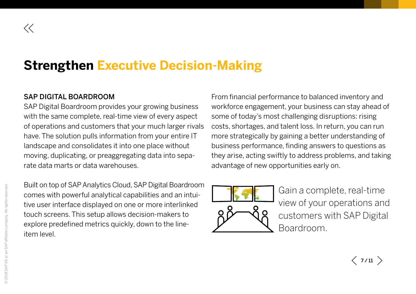# <span id="page-6-0"></span>**Strengthen Executive Decision-Making**

#### SAP DIGITAL BOARDROOM

SAP Digital Boardroom provides your growing business with the same complete, real-time view of every aspect of operations and customers that your much larger rivals have. The solution pulls information from your entire IT landscape and consolidates it into one place without moving, duplicating, or preaggregating data into separate data marts or data warehouses.

Built on top of SAP Analytics Cloud, SAP Digital Boardroom comes with powerful analytical capabilities and an intuitive user interface displayed on one or more interlinked touch screens. This setup allows decision-makers to explore predefined metrics quickly, down to the lineitem level.

From financial performance to balanced inventory and workforce engagement, your business can stay ahead of some of today's most challenging disruptions: rising costs, shortages, and talent loss. In return, you can run more strategically by gaining a better understanding of business performance, finding answers to questions as they arise, acting swiftly to address problems, and taking advantage of new opportunities early on.



Gain a complete, real-time view of your operations and customers with SAP Digital Boardroom.

 $\langle 7/11 \rangle$ 

© 2018 SAP SE or an SAP affiliate company. All rights reserved.

@ 2018 SAP SE or an SAP affiliate company. All rights rese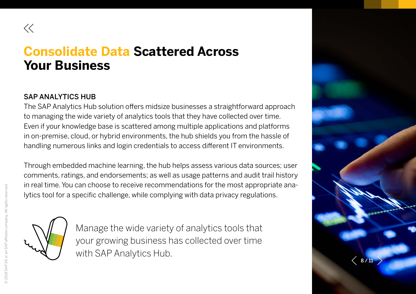<span id="page-7-0"></span>

### **Consolidate Data Scattered Across Your Business**

#### SAP ANALYTICS HUB

The SAP Analytics Hub solution offers midsize businesses a straightforward approach to managing the wide variety of analytics tools that they have collected over time. Even if your knowledge base is scattered among multiple applications and platforms in on-premise, cloud, or hybrid environments, the hub shields you from the hassle of handling numerous links and login credentials to access different IT environments.

Through embedded machine learning, the hub helps assess various data sources; user comments, ratings, and endorsements; as well as usage patterns and audit trail history in real time. You can choose to receive recommendations for the most appropriate analytics tool for a specific challenge, while complying with data privacy regulations.



Manage the wide variety of analytics tools that your growing business has collected over time with SAP Analytics Hub.

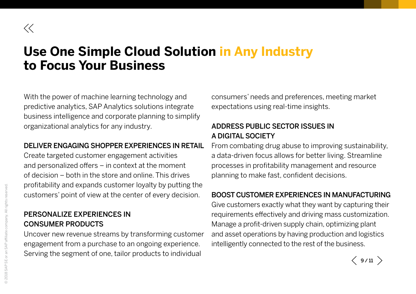### <span id="page-8-0"></span> $<<$

### **Use One Simple Cloud Solution in Any Industry to Focus Your Business**

With the power of machine learning technology and predictive analytics, SAP Analytics solutions integrate business intelligence and corporate planning to simplify organizational analytics for any industry.

#### DELIVER ENGAGING SHOPPER EXPERIENCES IN RETAIL

Create targeted customer engagement activities and personalized offers – in context at the moment of decision – both in the store and online. This drives profitability and expands customer loyalty by putting the customers' point of view at the center of every decision.

### PERSONALIZE EXPERIENCES IN CONSUMER PRODUCTS

Uncover new revenue streams by transforming customer engagement from a purchase to an ongoing experience. Serving the segment of one, tailor products to individual

consumers' needs and preferences, meeting market expectations using real-time insights.

### ADDRESS PUBLIC SECTOR ISSUES IN A DIGITAL SOCIETY

From combating drug abuse to improving sustainability, a data-driven focus allows for better living. Streamline processes in profitability management and resource planning to make fast, confident decisions.

#### BOOST CUSTOMER EXPERIENCES IN MANUFACTURING

Give customers exactly what they want by capturing their requirements effectively and driving mass customization. Manage a profit-driven supply chain, optimizing plant and asset operations by having production and logistics intelligently connected to the rest of the business.

 $\langle$  9/11  $\rangle$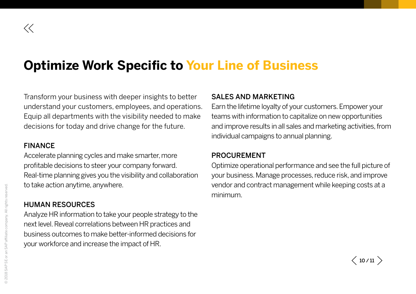## <span id="page-9-0"></span>**Optimize Work Specific to Your Line of Business**

Transform your business with deeper insights to better understand your customers, employees, and operations. Equip all departments with the visibility needed to make decisions for today and drive change for the future.

#### **FINANCE**

Accelerate planning cycles and make smarter, more profitable decisions to steer your company forward. Real-time planning gives you the visibility and collaboration to take action anytime, anywhere.

#### HUMAN RESOURCES

Analyze HR information to take your people strategy to the next level. Reveal correlations between HR practices and business outcomes to make better-informed decisions for your workforce and increase the impact of HR.

#### SALES AND MARKETING

Earn the lifetime loyalty of your customers. Empower your teams with information to capitalize on new opportunities and improve results in all sales and marketing activities, from individual campaigns to annual planning.

#### PROCUREMENT

Optimize operational performance and see the full picture of your business. Manage processes, reduce risk, and improve vendor and contract management while keeping costs at a minimum.

 $\langle$  10/11  $\rangle$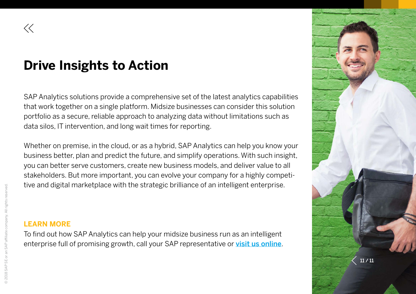### <span id="page-10-0"></span> $<<$

## **Drive Insights to Action**

SAP Analytics solutions provide a comprehensive set of the latest analytics capabilities that work together on a single platform. Midsize businesses can consider this solution portfolio as a secure, reliable approach to analyzing data without limitations such as data silos, IT intervention, and long wait times for reporting.

Whether on premise, in the cloud, or as a hybrid, SAP Analytics can help you know your business better, plan and predict the future, and simplify operations. With such insight, you can better serve customers, create new business models, and deliver value to all stakeholders. But more important, you can evolve your company for a highly competitive and digital marketplace with the strategic brilliance of an intelligent enterprise.

#### **LEARN MORE**

To find out how SAP Analytics can help your midsize business run as an intelligent enterprise full of promising growth, call your SAP representative or [visit us online](https://www.sap.com/products/sme-business-software/analytics.html).